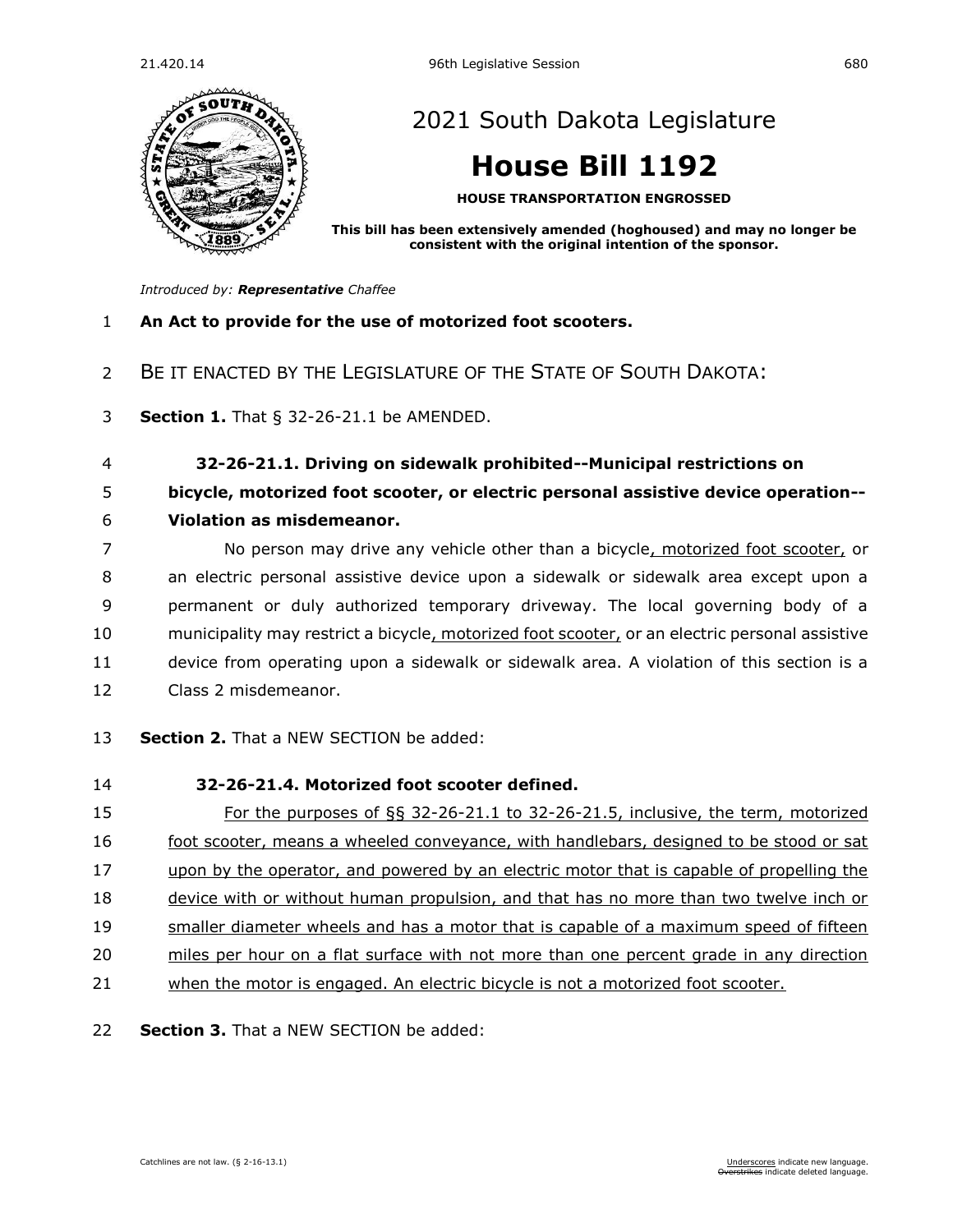

## [2021 South Dakota Legislature](https://sdlegislature.gov/Session/Bills/44) **[House Bill 1192](https://sdlegislature.gov/Session/Bill/22140)**

## **HOUSE TRANSPORTATION ENGROSSED**

**This bill has been extensively amended (hoghoused) and may no longer be consistent with the original intention of the sponsor.**

*Introduced by: Representative [Chaffee](https://sdlegislature.gov/Legislators/Profile/1777/Detail)*

**An Act to provide for the use of motorized foot scooters.**

- BE IT ENACTED BY THE LEGISLATURE OF THE STATE OF SOUTH DAKOTA:
- **Section 1.** [That § 32-26-21.1 be AMENDED.](https://sdlegislature.gov/Statutes/Codified_Laws/2055009)

**[32-26-21.1. D](https://sdlegislature.gov/Statutes/Codified_Laws/DisplayStatute.aspx?Type=Statute&Statute=32-26-21.1)riving on sidewalk prohibited--Municipal restrictions on** 

 **bicycle, motorized foot scooter, or electric personal assistive device operation-- Violation as misdemeanor.**

 No person may drive any vehicle other than a bicycle, motorized foot scooter, or an electric personal assistive device upon a sidewalk or sidewalk area except upon a permanent or duly authorized temporary driveway. The local governing body of a 10 municipality may restrict a bicycle, motorized foot scooter, or an electric personal assistive device from operating upon a sidewalk or sidewalk area. A violation of this section is a Class 2 misdemeanor.

**Section 2.** That a NEW SECTION be added:

**32-26-21.4. Motorized foot scooter defined.**

 For the purposes of §§ [32-26-21.1](https://sdlegislature.gov/Statutes/Codified_Laws/DisplayStatute.aspx?Type=Statute&Statute=32-26-21.1) to 32-26-21.5, inclusive, the term, motorized foot scooter, means a wheeled conveyance, with handlebars, designed to be stood or sat upon by the operator, and powered by an electric motor that is capable of propelling the device with or without human propulsion, and that has no more than two twelve inch or smaller diameter wheels and has a motor that is capable of a maximum speed of fifteen miles per hour on a flat surface with not more than one percent grade in any direction 21 when the motor is engaged. An electric bicycle is not a motorized foot scooter.

**Section 3.** That a NEW SECTION be added: